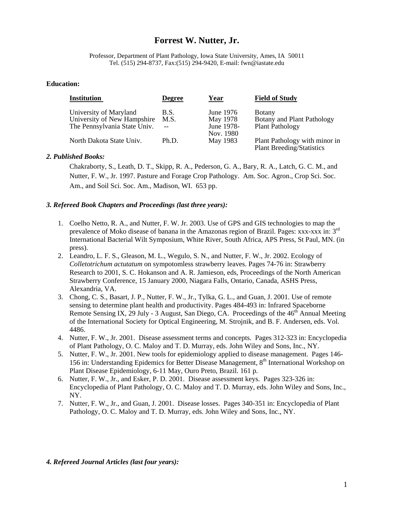## **Forrest W. Nutter, Jr.**

Professor, Department of Plant Pathology, Iowa State University, Ames, IA 50011 Tel. (515) 294-8737, Fax:(515) 294-9420, E-mail: fwn@iastate.edu

## **Education:**

| <b>Institution</b>                                                                    | <b>Degree</b>              | Year                                             | <b>Field of Study</b>                                                  |
|---------------------------------------------------------------------------------------|----------------------------|--------------------------------------------------|------------------------------------------------------------------------|
| University of Maryland<br>University of New Hampshire<br>The Pennsylvania State Univ. | <b>B.S.</b><br>M.S.<br>$-$ | June 1976<br>May 1978<br>June 1978-<br>Nov. 1980 | <b>B</b> otany<br>Botany and Plant Pathology<br><b>Plant Pathology</b> |
| North Dakota State Univ.                                                              | Ph.D.                      | May 1983                                         | Plant Pathology with minor in<br><b>Plant Breeding/Statistics</b>      |

## *2. Published Books:*

Chakraborty, S., Leath, D. T., Skipp, R. A., Pederson, G. A., Bary, R. A., Latch, G. C. M., and Nutter, F. W., Jr. 1997. Pasture and Forage Crop Pathology. Am. Soc. Agron., Crop Sci. Soc. Am., and Soil Sci. Soc. Am., Madison, WI. 653 pp.

## *3. Refereed Book Chapters and Proceedings (last three years):*

- 1. Coelho Netto, R. A., and Nutter, F. W. Jr. 2003. Use of GPS and GIS technologies to map the prevalence of Moko disease of banana in the Amazonas region of Brazil. Pages: xxx-xxx in: 3rd International Bacterial Wilt Symposium, White River, South Africa, APS Press, St Paul, MN. (in press).
- 2. Leandro, L. F. S., Gleason, M. L., Wegulo, S. N., and Nutter, F. W., Jr. 2002. Ecology of *Colletotrichum actutatum* on sympotomless strawberry leaves. Pages 74-76 in: Strawberry Research to 2001, S. C. Hokanson and A. R. Jamieson, eds, Proceedings of the North American Strawberry Conference, 15 January 2000, Niagara Falls, Ontario, Canada, ASHS Press, Alexandria, VA.
- 3. Chong, C. S., Basart, J. P., Nutter, F. W., Jr., Tylka, G. L., and Guan, J. 2001. Use of remote sensing to determine plant health and productivity. Pages 484-493 in: Infrared Spaceborne Remote Sensing IX, 29 July - 3 August, San Diego, CA. Proceedings of the  $46<sup>th</sup>$  Annual Meeting of the International Society for Optical Engineering, M. Strojnik, and B. F. Andersen, eds. Vol. 4486.
- 4. Nutter, F. W., Jr. 2001. Disease assessment terms and concepts. Pages 312-323 in: Encyclopedia of Plant Pathology, O. C. Maloy and T. D. Murray, eds. John Wiley and Sons, Inc., NY.
- 5. Nutter, F. W., Jr. 2001. New tools for epidemiology applied to disease management. Pages 146- 156 in: Understanding Epidemics for Better Disease Management, 8<sup>th</sup> International Workshop on Plant Disease Epidemiology, 6-11 May, Ouro Preto, Brazil. 161 p.
- 6. Nutter, F. W., Jr., and Esker, P. D. 2001. Disease assessment keys. Pages 323-326 in: Encyclopedia of Plant Pathology, O. C. Maloy and T. D. Murray, eds. John Wiley and Sons, Inc., NY.
- 7. Nutter, F. W., Jr., and Guan, J. 2001. Disease losses. Pages 340-351 in: Encyclopedia of Plant Pathology, O. C. Maloy and T. D. Murray, eds. John Wiley and Sons, Inc., NY.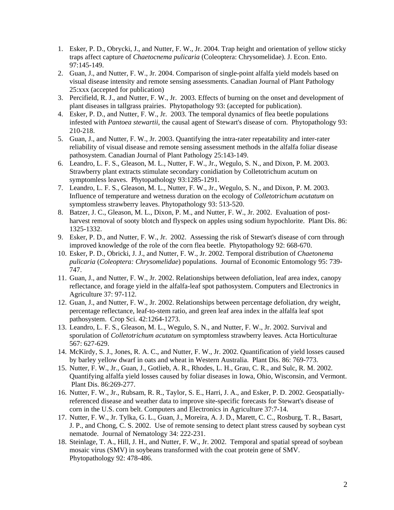- 1. Esker, P. D., Obrycki, J., and Nutter, F. W., Jr. 2004. Trap height and orientation of yellow sticky traps affect capture of *Chaetocnema pulicaria* (Coleoptera: Chrysomelidae). J. Econ. Ento. 97:145-149.
- 2. Guan, J., and Nutter, F. W., Jr. 2004. Comparison of single-point alfalfa yield models based on visual disease intensity and remote sensing assessments. Canadian Journal of Plant Pathology 25:xxx (accepted for publication)
- 3. Percifield, R. J., and Nutter, F. W., Jr. 2003. Effects of burning on the onset and development of plant diseases in tallgrass prairies. Phytopathology 93: (accepted for publication).
- 4. Esker, P. D., and Nutter, F. W., Jr. 2003. The temporal dynamics of flea beetle populations infested with *Pantoea stewartii*, the causal agent of Stewart's disease of corn. Phytopathology 93: 210-218.
- 5. Guan, J., and Nutter, F. W., Jr. 2003. Quantifying the intra-rater repeatability and inter-rater reliability of visual disease and remote sensing assessment methods in the alfalfa foliar disease pathosystem. Canadian Journal of Plant Pathology 25:143-149.
- 6. Leandro, L. F. S., Gleason, M. L., Nutter, F. W., Jr., Wegulo, S. N., and Dixon, P. M. 2003. Strawberry plant extracts stimulate secondary conidiation by Colletotrichum acutum on symptomless leaves. Phytopathology 93:1285-1291.
- 7. Leandro, L. F. S., Gleason, M. L., Nutter, F. W., Jr., Wegulo, S. N., and Dixon, P. M. 2003. Influence of temperature and wetness duration on the ecology of *Colletotrichum acutatum* on symptomless strawberry leaves. Phytopathology 93: 513-520.
- 8. Batzer, J. C., Gleason, M. L., Dixon, P. M., and Nutter, F. W., Jr. 2002. Evaluation of postharvest removal of sooty blotch and flyspeck on apples using sodium hypochlorite. Plant Dis. 86: 1325-1332.
- 9. Esker, P. D., and Nutter, F. W., Jr. 2002. Assessing the risk of Stewart's disease of corn through improved knowledge of the role of the corn flea beetle. Phytopathology 92: 668-670.
- 10. Esker, P. D., Obricki, J. J., and Nutter, F. W., Jr. 2002. Temporal distribution of *Chaetonema pulicaria* (*Coleoptera: Chrysomelidae*) populations. Journal of Economic Entomology 95: 739- 747.
- 11. Guan, J., and Nutter, F. W., Jr. 2002. Relationships between defoliation, leaf area index, canopy reflectance, and forage yield in the alfalfa-leaf spot pathosystem. Computers and Electronics in Agriculture 37: 97-112.
- 12. Guan, J., and Nutter, F. W., Jr. 2002. Relationships between percentage defoliation, dry weight, percentage reflectance, leaf-to-stem ratio, and green leaf area index in the alfalfa leaf spot pathosystem. Crop Sci. 42:1264-1273.
- 13. Leandro, L. F. S., Gleason, M. L., Wegulo, S. N., and Nutter, F. W., Jr. 2002. Survival and sporulation of *Colletotrichum acutatum* on symptomless strawberry leaves. Acta Horticulturae 567: 627-629.
- 14. McKirdy, S. J., Jones, R. A. C., and Nutter, F. W., Jr. 2002. Quantification of yield losses caused by barley yellow dwarf in oats and wheat in Western Australia. Plant Dis. 86: 769-773.
- 15. Nutter, F. W., Jr., Guan, J., Gotlieb, A. R., Rhodes, L. H., Grau, C. R., and Sulc, R. M. 2002. Quantifying alfalfa yield losses caused by foliar diseases in Iowa, Ohio, Wisconsin, and Vermont. Plant Dis. 86:269-277.
- 16. Nutter, F. W., Jr., Rubsam, R. R., Taylor, S. E., Harri, J. A., and Esker, P. D. 2002. Geospatiallyreferenced disease and weather data to improve site-specific forecasts for Stewart's disease of corn in the U.S. corn belt. Computers and Electronics in Agriculture 37:7-14.
- 17. Nutter, F. W., Jr. Tylka, G. L., Guan, J., Moreira, A. J. D., Marett, C. C., Rosburg, T. R., Basart, J. P., and Chong, C. S. 2002. Use of remote sensing to detect plant stress caused by soybean cyst nematode. Journal of Nematology 34: 222-231.
- 18. Steinlage, T. A., Hill, J. H., and Nutter, F. W., Jr. 2002. Temporal and spatial spread of soybean mosaic virus (SMV) in soybeans transformed with the coat protein gene of SMV. Phytopathology 92: 478-486.